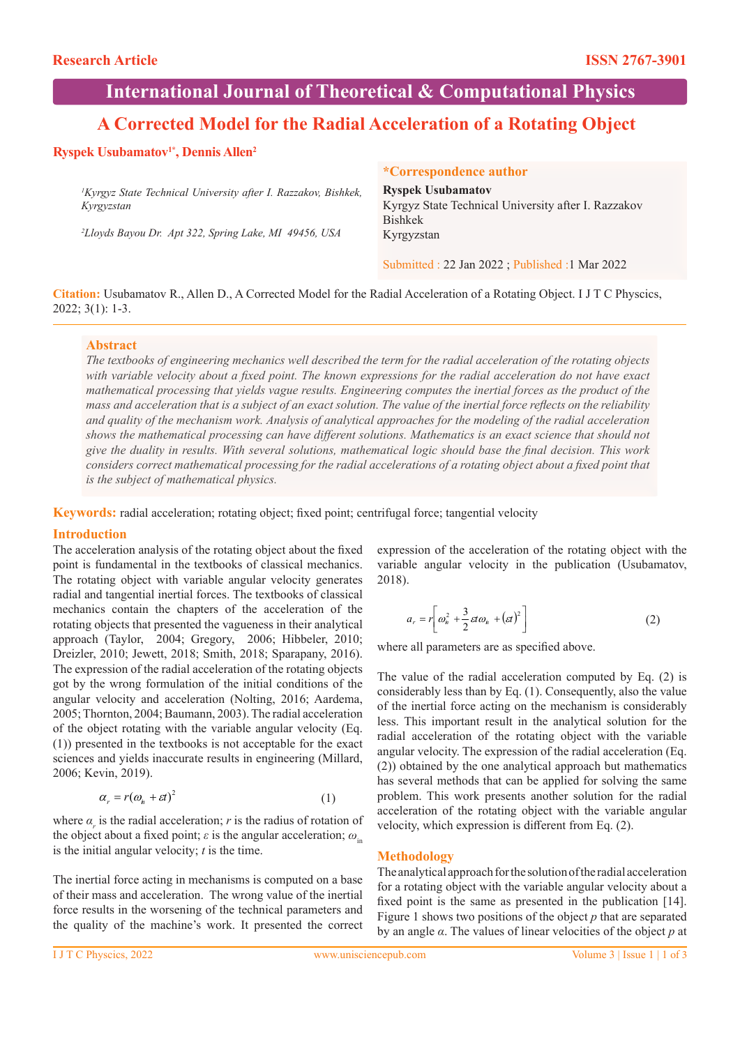# **International Journal of Theoretical & Computational Physics**

# **A Corrected Model for the Radial Acceleration of a Rotating Object**

## **Ryspek Usubamatov1\*, Dennis Allen2**

*1 Kyrgyz State Technical University after I. Razzakov, Bishkek, Kyrgyzstan*

*2 Lloyds Bayou Dr. Apt 322, Spring Lake, MI 49456, USA*

#### **\*Correspondence author**

**Ryspek Usubamatov** Kyrgyz State Technical University after I. Razzakov Bishkek Kyrgyzstan

Submitted : 22 Jan 2022 ; Published :1 Mar 2022

**Citation:** Usubamatov R., Allen D., A Corrected Model for the Radial Acceleration of a Rotating Object. I J T C Physcics, 2022; 3(1): 1-3.

#### **Abstract**

*The textbooks of engineering mechanics well described the term for the radial acceleration of the rotating objects*  with variable velocity about a fixed point. The known expressions for the radial acceleration do not have exact *mathematical processing that yields vague results. Engineering computes the inertial forces as the product of the mass and acceleration that is a subject of an exact solution. The value of the inertial force reflects on the reliability and quality of the mechanism work. Analysis of analytical approaches for the modeling of the radial acceleration shows the mathematical processing can have different solutions. Mathematics is an exact science that should not give the duality in results. With several solutions, mathematical logic should base the final decision. This work considers correct mathematical processing for the radial accelerations of a rotating object about a fixed point that is the subject of mathematical physics.*

**Keywords:** radial acceleration; rotating object; fixed point; centrifugal force; tangential velocity

### **Introduction**

The acceleration analysis of the rotating object about the fixed point is fundamental in the textbooks of classical mechanics. The rotating object with variable angular velocity generates radial and tangential inertial forces. The textbooks of classical mechanics contain the chapters of the acceleration of the rotating objects that presented the vagueness in their analytical approach (Taylor, 2004; Gregory, 2006; Hibbeler, 2010; Dreizler, 2010; Jewett, 2018; Smith, 2018; Sparapany, 2016). The expression of the radial acceleration of the rotating objects got by the wrong formulation of the initial conditions of the angular velocity and acceleration (Nolting, 2016; Aardema, 2005; Thornton, 2004; Baumann, 2003). The radial acceleration of the object rotating with the variable angular velocity (Eq. (1)) presented in the textbooks is not acceptable for the exact sciences and yields inaccurate results in engineering (Millard, 2006; Kevin, 2019).

$$
\alpha_r = r(\omega_n + \varepsilon t)^2 \tag{1}
$$

where  $\alpha_r$  is the radial acceleration; *r* is the radius of rotation of the object about a fixed point;  $\varepsilon$  is the angular acceleration;  $\omega_{\text{in}}$ is the initial angular velocity; *t* is the time.

The inertial force acting in mechanisms is computed on a base of their mass and acceleration. The wrong value of the inertial force results in the worsening of the technical parameters and the quality of the machine's work. It presented the correct expression of the acceleration of the rotating object with the variable angular velocity in the publication (Usubamatov, 2018).

$$
a_r = r \bigg[ \omega_n^2 + \frac{3}{2} \varepsilon t \omega_n + (\varepsilon t)^2 \bigg] \tag{2}
$$

where all parameters are as specified above.

The value of the radial acceleration computed by Eq. (2) is considerably less than by Eq. (1). Consequently, also the value of the inertial force acting on the mechanism is considerably less. This important result in the analytical solution for the radial acceleration of the rotating object with the variable angular velocity. The expression of the radial acceleration (Eq. (2)) obtained by the one analytical approach but mathematics has several methods that can be applied for solving the same problem. This work presents another solution for the radial acceleration of the rotating object with the variable angular velocity, which expression is different from Eq. (2).

#### **Methodology**

The analytical approach for the solution of the radial acceleration for a rotating object with the variable angular velocity about a fixed point is the same as presented in the publication [14]. Figure 1 shows two positions of the object *p* that are separated by an angle *α*. The values of linear velocities of the object *p* at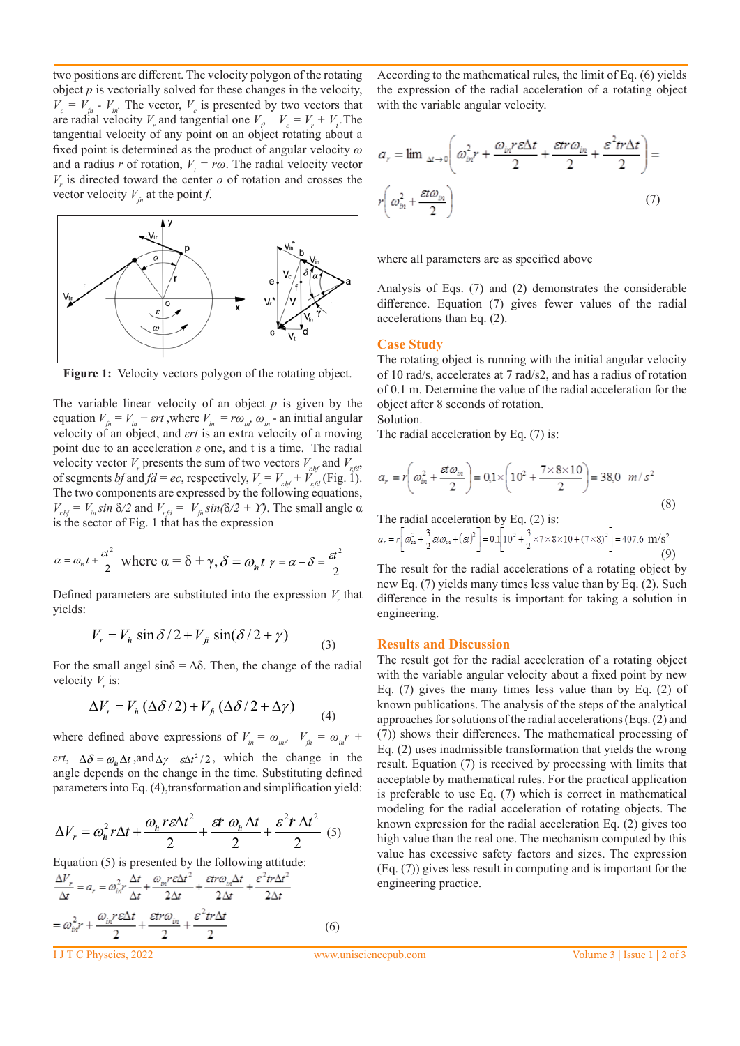two positions are different. The velocity polygon of the rotating object *p* is vectorially solved for these changes in the velocity,  $V_c = V_{fn}$  -  $V_{in}$ . The vector,  $V_c$  is presented by two vectors that are radial velocity  $V_r$  and tangential one  $V_t$ ,  $V_c = V_r + V_t$ . The tangential velocity of any point on an object rotating about a fixed point is determined as the product of angular velocity *ω* and a radius *r* of rotation,  $V_t = r\omega$ . The radial velocity vector  $V_r$  is directed toward the center  $o$  of rotation and crosses the vector velocity  $V_{fn}$  at the point *f*.



Figure 1: Velocity vectors polygon of the rotating object.

The variable linear velocity of an object *p* is given by the equation  $V_{fn} = V_{in} + \varepsilon rt$ , where  $V_{in} = r\omega_{in}$ ,  $\omega_{in}$  - an initial angular velocity of an object, and *εrt* is an extra velocity of a moving point due to an acceleration *ε* one, and t is a time. The radial velocity vector *V<sub>r</sub>* presents the sum of two vectors  $V_{rbt}$  and  $V_{rtd}$ , of segments *bf* and  $fd = ec$ , respectively,  $V_r = V_{r,bf} + V_{rfd}$  (Fig. 1). The two components are expressed by the following equations, *V<sub>r.bf</sub>* = *V<sub>in</sub> sin* δ/2 and *V<sub>r.fd</sub>* = *V<sub>fn</sub>* sin(δ/2 + *Y*). The small angle α is the sector of Fig. 1 that has the expression

$$
\alpha = \omega_n t + \frac{\varepsilon t^2}{2}
$$
 where  $\alpha = \delta + \gamma$ ,  $\delta = \omega_n t$   $\gamma = \alpha - \delta = \frac{\varepsilon t^2}{2}$ 

Defined parameters are substituted into the expression  $V_r$  that yields:

$$
V_r = V_h \sin \delta / 2 + V_f \sin(\delta / 2 + \gamma)
$$
 (3)

For the small angel  $\sin\delta = \Delta\delta$ . Then, the change of the radial velocity  $V_r$  is:

$$
\Delta V_r = V_{\hat{n}} \left( \Delta \delta / 2 \right) + V_{\hat{p}} \left( \Delta \delta / 2 + \Delta \gamma \right) \tag{4}
$$

where defined above expressions of  $V_{in} = \omega_{in}$ ,  $V_{fn} = \omega_{in} r + \omega_{in}$ *εrt*,  $\Delta \delta = \omega_n \Delta t$ , and  $\Delta \gamma = \varepsilon \Delta t^2 / 2$ , which the change in the angle depends on the change in the time. Substituting defined parameters into Eq. (4),transformation and simplification yield:

$$
\Delta V_r = \omega_n^2 r \Delta t + \frac{\omega_n r \epsilon \Delta t^2}{2} + \frac{\epsilon t \omega_n \Delta t}{2} + \frac{\epsilon^2 t \Delta t^2}{2} \tag{5}
$$

Equation (5) is presented by the following attitude:

$$
\frac{\Delta V_r}{\Delta t} = a_r = \omega_{bl}^2 r \frac{\Delta t}{\Delta t} + \frac{\omega_{in} r \epsilon \Delta t^2}{2\Delta t} + \frac{\epsilon t r \omega_{in} \Delta t}{2\Delta t} + \frac{\epsilon^2 t r \Delta t^2}{2\Delta t}
$$

$$
= \omega_{bl}^2 r + \frac{\omega_{bl} r \epsilon \Delta t}{2} + \frac{\epsilon t r \omega_{in}}{2} + \frac{\epsilon^2 t r \Delta t}{2}
$$
(6)

According to the mathematical rules, the limit of Eq. (6) yields the expression of the radial acceleration of a rotating object with the variable angular velocity.

$$
a_r = \lim_{\Delta t \to 0} \left( \omega_{in}^2 r + \frac{\omega_{in} r \epsilon \Delta t}{2} + \frac{\epsilon \text{tr} \omega_{in}}{2} + \frac{\epsilon^2 \text{tr} \Delta t}{2} \right) =
$$

$$
r \left( \omega_{in}^2 + \frac{\epsilon \text{tr} \omega_{in}}{2} \right)
$$
(7)

where all parameters are as specified above

Analysis of Eqs. (7) and (2) demonstrates the considerable difference. Equation (7) gives fewer values of the radial accelerations than Eq. (2).

#### **Case Study**

The rotating object is running with the initial angular velocity of 10 rad/s, accelerates at 7 rad/s2, and has a radius of rotation of 0.1 m. Determine the value of the radial acceleration for the object after 8 seconds of rotation.

Solution.

The radial acceleration by Eq. (7) is:

$$
a_r = r \left( \omega_{in}^2 + \frac{\alpha \omega_{in}}{2} \right) = 0.1 \times \left( 10^2 + \frac{7 \times 8 \times 10}{2} \right) = 38.0 \text{ m/s}^2
$$
\n(8)

The radial acceleration by Eq. 
$$
(2)
$$
 is:

$$
a_r = r \left[ \omega_m^2 + \frac{3}{2} \alpha \omega_m + (\alpha r)^2 \right] = 0.1 \left[ 10^2 + \frac{3}{2} \times 7 \times 8 \times 10 + (7 \times 8)^2 \right] = 407.6 \text{ m/s}^2
$$
(9)

The result for the radial accelerations of a rotating object by new Eq. (7) yields many times less value than by Eq. (2). Such difference in the results is important for taking a solution in engineering.

#### **Results and Discussion**

The result got for the radial acceleration of a rotating object with the variable angular velocity about a fixed point by new Eq. (7) gives the many times less value than by Eq. (2) of known publications. The analysis of the steps of the analytical approaches for solutions of the radial accelerations (Eqs. (2) and (7)) shows their differences. The mathematical processing of Eq. (2) uses inadmissible transformation that yields the wrong result. Equation (7) is received by processing with limits that acceptable by mathematical rules. For the practical application is preferable to use Eq. (7) which is correct in mathematical modeling for the radial acceleration of rotating objects. The known expression for the radial acceleration Eq. (2) gives too high value than the real one. The mechanism computed by this value has excessive safety factors and sizes. The expression (Eq. (7)) gives less result in computing and is important for the engineering practice.